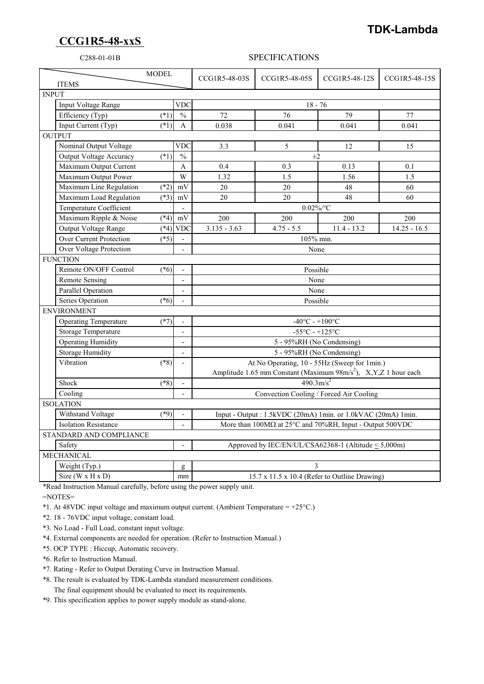## **CCG1R5-48-xxS**

## **TDK-Lambda**

## C288-01-01B SPECIFICATIONS

| <b>ITEMS</b>                |                                   | <b>MODEL</b>                                        |                          | CCG1R5-48-03S                                                               | CCG1R5-48-05S | CCG1R5-48-12S | CCG1R5-48-15S  |
|-----------------------------|-----------------------------------|-----------------------------------------------------|--------------------------|-----------------------------------------------------------------------------|---------------|---------------|----------------|
| <b>INPUT</b>                |                                   |                                                     |                          |                                                                             |               |               |                |
|                             | <b>VDC</b><br>Input Voltage Range |                                                     |                          | $18 - 76$                                                                   |               |               |                |
|                             | Efficiency (Typ)                  | $(*1)$                                              | $\frac{0}{0}$            | 72                                                                          | 76            | 79            | 77             |
|                             | Input Current (Typ)               | $(*1)$                                              | $\mathbf{A}$             | 0.038                                                                       | 0.041         | 0.041         | 0.041          |
| <b>OUTPUT</b>               |                                   |                                                     |                          |                                                                             |               |               |                |
|                             | Nominal Output Voltage            |                                                     | <b>VDC</b>               | 3.3                                                                         | 5             | 12            | 15             |
|                             | <b>Output Voltage Accuracy</b>    | $(*1)$                                              | $\frac{0}{0}$            | $\pm 2$                                                                     |               |               |                |
|                             | Maximum Output Current            |                                                     | A                        | 0.4                                                                         | 0.3           | 0.13          | 0.1            |
|                             | Maximum Output Power              |                                                     | $\overline{W}$           | 1.32                                                                        | 1.5           | 1.56          | 1.5            |
|                             | Maximum Line Regulation           | $(*2)$                                              | mV                       | 20                                                                          | 20            | 48            | 60             |
|                             | Maximum Load Regulation           | $(*3)$                                              | mV                       | 20                                                                          | 20            | 48            | 60             |
|                             | Temperature Coefficient           |                                                     |                          | $0.02\%$ /°C                                                                |               |               |                |
|                             | Maximum Ripple & Noise            | $(*4)$                                              | $\rm mV$                 | 200                                                                         | 200           | 200           | 200            |
|                             | Output Voltage Range              | $(*4)$                                              | <b>VDC</b>               | $3.135 - 3.63$                                                              | $4.75 - 5.5$  | $11.4 - 13.2$ | $14.25 - 16.5$ |
|                             | <b>Over Current Protection</b>    | $(*5)$                                              |                          |                                                                             | 105% min.     |               |                |
|                             | Over Voltage Protection           |                                                     |                          | None                                                                        |               |               |                |
| <b>FUNCTION</b>             |                                   |                                                     |                          |                                                                             |               |               |                |
|                             | Remote ON/OFF Control             | $(*6)$                                              |                          | Possible                                                                    |               |               |                |
|                             | <b>Remote Sensing</b>             |                                                     | $\blacksquare$           | None                                                                        |               |               |                |
|                             | Parallel Operation                |                                                     | $\overline{\phantom{a}}$ | None                                                                        |               |               |                |
|                             | Series Operation                  | $(*6)$                                              |                          | Possible                                                                    |               |               |                |
| <b>ENVIRONMENT</b>          |                                   |                                                     |                          |                                                                             |               |               |                |
|                             | <b>Operating Temperature</b>      | $(*7)$                                              | $\blacksquare$           | $-40^{\circ}$ C - $+100^{\circ}$ C                                          |               |               |                |
|                             | Storage Temperature               |                                                     | $\overline{\phantom{a}}$ | -55 $\mathrm{^{\circ}C}$ - +125 $\mathrm{^{\circ}C}$                        |               |               |                |
|                             | <b>Operating Humidity</b>         |                                                     | $\overline{\phantom{a}}$ | 5 - 95%RH (No Condensing)                                                   |               |               |                |
|                             | <b>Storage Humidity</b>           |                                                     | $\overline{a}$           | 5 - 95%RH (No Condensing)                                                   |               |               |                |
|                             | Vibration                         | $(*8)$                                              | $\overline{\phantom{0}}$ | At No Operating, 10 - 55Hz (Sweep for 1min.)                                |               |               |                |
|                             |                                   |                                                     |                          | Amplitude 1.65 mm Constant (Maximum 98m/s <sup>2</sup> ), X,Y,Z 1 hour each |               |               |                |
|                             | Shock                             | $(*8)$                                              | $\overline{\phantom{a}}$ | $490.3 \text{m/s}^2$                                                        |               |               |                |
|                             | Cooling                           |                                                     |                          | Convection Cooling / Forced Air Cooling                                     |               |               |                |
| <b>ISOLATION</b>            |                                   |                                                     |                          |                                                                             |               |               |                |
|                             | Withstand Voltage                 | $(*9)$                                              |                          | Input - Output: 1.5kVDC (20mA) 1min. or 1.0kVAC (20mA) 1min.                |               |               |                |
| <b>Isolation Resistance</b> |                                   |                                                     |                          | More than 100MΩ at 25°C and 70%RH, Input - Output 500VDC                    |               |               |                |
| STANDARD AND COMPLIANCE     |                                   |                                                     |                          |                                                                             |               |               |                |
| Safety                      |                                   |                                                     |                          | Approved by IEC/EN/UL/CSA62368-1 (Altitude < 5,000m)                        |               |               |                |
| <b>MECHANICAL</b>           |                                   |                                                     |                          |                                                                             |               |               |                |
|                             | Weight (Typ.)                     |                                                     | g                        | 3                                                                           |               |               |                |
|                             | Size ( $W \times H \times D$ )    | 15.7 x 11.5 x 10.4 (Refer to Outline Drawing)<br>mm |                          |                                                                             |               |               |                |

\*Read Instruction Manual carefully, before using the power supply unit.

=NOTES=

\*1. At 48VDC input voltage and maximum output current. (Ambient Temperature =  $+25^{\circ}$ C.)

\*2. 18 - 76VDC input voltage, constant load.

\*3. No Load - Full Load, constant input voltage.

\*4. External components are needed for operation. (Refer to Instruction Manual.)

\*5. OCP TYPE : Hiccup, Automatic recovery.

\*6. Refer to Instruction Manual.

\*7. Rating - Refer to Output Derating Curve in Instruction Manual.

 \*8. The result is evaluated by TDK-Lambda standard measurement conditions. The final equipment should be evaluated to meet its requirements.

\*9. This specification applies to power supply module as stand-alone.